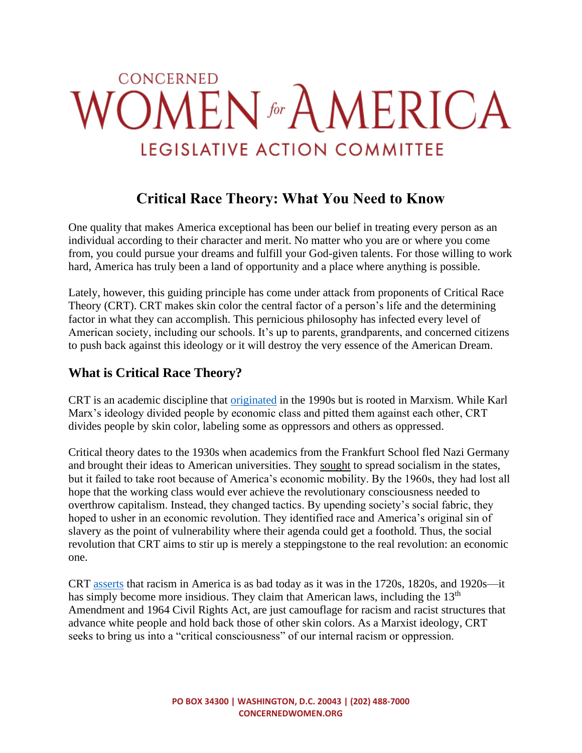# CONCERNED **OMEN** for AMERICA LEGISLATIVE ACTION COMMITTEE

# **Critical Race Theory: What You Need to Know**

One quality that makes America exceptional has been our belief in treating every person as an individual according to their character and merit. No matter who you are or where you come from, you could pursue your dreams and fulfill your God-given talents. For those willing to work hard, America has truly been a land of opportunity and a place where anything is possible.

Lately, however, this guiding principle has come under attack from proponents of Critical Race Theory (CRT). CRT makes skin color the central factor of a person's life and the determining factor in what they can accomplish. This pernicious philosophy has infected every level of American society, including our schools. It's up to parents, grandparents, and concerned citizens to push back against this ideology or it will destroy the very essence of the American Dream.

### **What is Critical Race Theory?**

CRT is an academic discipline that [originated](https://imprimis.hillsdale.edu/critical-race-theory-fight/) in the 1990s but is rooted in Marxism. While Karl Marx's ideology divided people by economic class and pitted them against each other, CRT divides people by skin color, labeling some as oppressors and others as oppressed.

Critical theory dates to the 1930s when academics from the Frankfurt School fled Nazi Germany and brought their ideas to American universities. They [sought](https://heritageaction.com/toolkit/rejectcrt) to spread socialism in the states, but it failed to take root because of America's economic mobility. By the 1960s, they had lost all hope that the working class would ever achieve the revolutionary consciousness needed to overthrow capitalism. Instead, they changed tactics. By upending society's social fabric, they hoped to usher in an economic revolution. They identified race and America's original sin of slavery as the point of vulnerability where their agenda could get a foothold. Thus, the social revolution that CRT aims to stir up is merely a steppingstone to the real revolution: an economic one.

CRT [asserts](https://christopherrufo.com/crt-briefing-book/) that racism in America is as bad today as it was in the 1720s, 1820s, and 1920s—it has simply become more insidious. They claim that American laws, including the 13<sup>th</sup> Amendment and 1964 Civil Rights Act, are just camouflage for racism and racist structures that advance white people and hold back those of other skin colors. As a Marxist ideology, CRT seeks to bring us into a "critical consciousness" of our internal racism or oppression.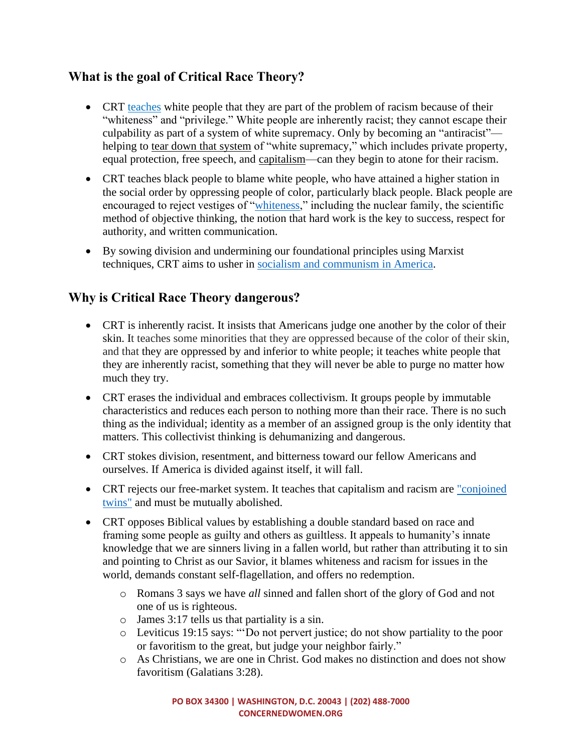#### **What is the goal of Critical Race Theory?**

- CRT [teaches](https://www.npr.org/2020/06/17/879136931/interrupt-the-systems-robin-diangelo-on-white-fragility-and-anti-racism) white people that they are part of the problem of racism because of their "whiteness" and "privilege." White people are inherently racist; they cannot escape their culpability as part of a system of white supremacy. Only by becoming an "antiracist" helping to [tear down that](https://nypost.com/2021/05/06/what-critical-race-theory-is-really-about/) system of "white supremacy," which includes private property, equal protection, free speech, and [capitalism—](https://www.democracynow.org/2019/8/13/ibram_x_kendi_class_race_capitalism)can they begin to atone for their racism.
- CRT teaches black people to blame white people, who have attained a higher station in the social order by oppressing people of color, particularly black people. Black people are encouraged to reject vestiges of ["whiteness,](https://townhall.com/tipsheet/madelinepeltzer/2020/07/15/smithsonian-museum-lectures-audience-on-whiteness-n2572542)" including the nuclear family, the scientific method of objective thinking, the notion that hard work is the key to success, respect for authority, and written communication.
- By sowing division and undermining our foundational principles using Marxist techniques, CRT aims to usher in [socialism and communism](https://www.heritage.org/progressivism/commentary/purging-whiteness-purge-capitalism) in America.

## **Why is Critical Race Theory dangerous?**

- CRT is inherently racist. It insists that Americans judge one another by the color of their skin. It teaches some minorities that they are oppressed because of the color of their skin, and that they are oppressed by and inferior to white people; it teaches white people that they are inherently racist, something that they will never be able to purge no matter how much they try.
- CRT erases the individual and embraces collectivism. It groups people by immutable characteristics and reduces each person to nothing more than their race. There is no such thing as the individual; identity as a member of an assigned group is the only identity that matters. This collectivist thinking is dehumanizing and dangerous.
- CRT stokes division, resentment, and bitterness toward our fellow Americans and ourselves. If America is divided against itself, it will fall.
- CRT rejects our free-market system. It teaches that capitalism and racism are ["conjoined](https://www.democracynow.org/2019/8/13/ibram_x_kendi_class_race_capitalism)  [twins"](https://www.democracynow.org/2019/8/13/ibram_x_kendi_class_race_capitalism) and must be mutually abolished.
- CRT opposes Biblical values by establishing a double standard based on race and framing some people as guilty and others as guiltless. It appeals to humanity's innate knowledge that we are sinners living in a fallen world, but rather than attributing it to sin and pointing to Christ as our Savior, it blames whiteness and racism for issues in the world, demands constant self-flagellation, and offers no redemption.
	- o Romans 3 says we have *all* sinned and fallen short of the glory of God and not one of us is righteous.
	- o James 3:17 tells us that partiality is a sin.
	- o Leviticus 19:15 says: "'Do not pervert justice; do not show partiality to the poor or favoritism to the great, but judge your neighbor fairly."
	- o As Christians, we are one in Christ. God makes no distinction and does not show favoritism (Galatians 3:28).